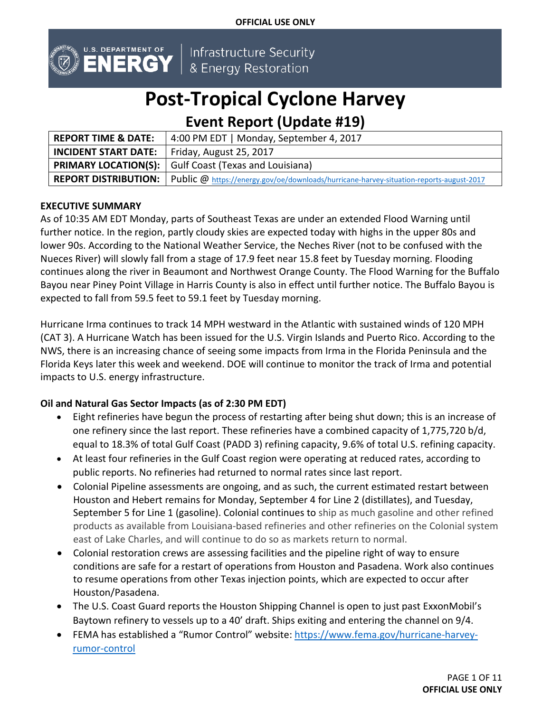**OFFICIAL USE ONLY**



Infrastructure Security & Energy Restoration

# **Post-Tropical Cyclone Harvey**

# **Event Report (Update #19)**

| <b>REPORT TIME &amp; DATE:</b>                        | 4:00 PM EDT   Monday, September 4, 2017                                                                        |  |
|-------------------------------------------------------|----------------------------------------------------------------------------------------------------------------|--|
| <b>INCIDENT START DATE:</b>   Friday, August 25, 2017 |                                                                                                                |  |
|                                                       | <b>PRIMARY LOCATION(S):</b> Gulf Coast (Texas and Louisiana)                                                   |  |
|                                                       | REPORT DISTRIBUTION:   Public @ https://energy.gov/oe/downloads/hurricane-harvey-situation-reports-august-2017 |  |

# **EXECUTIVE SUMMARY**

As of 10:35 AM EDT Monday, parts of Southeast Texas are under an extended Flood Warning until further notice. In the region, partly cloudy skies are expected today with highs in the upper 80s and lower 90s. According to the National Weather Service, the Neches River (not to be confused with the Nueces River) will slowly fall from a stage of 17.9 feet near 15.8 feet by Tuesday morning. Flooding continues along the river in Beaumont and Northwest Orange County. The Flood Warning for the Buffalo Bayou near Piney Point Village in Harris County is also in effect until further notice. The Buffalo Bayou is expected to fall from 59.5 feet to 59.1 feet by Tuesday morning.

Hurricane Irma continues to track 14 MPH westward in the Atlantic with sustained winds of 120 MPH (CAT 3). A Hurricane Watch has been issued for the U.S. Virgin Islands and Puerto Rico. According to the NWS, there is an increasing chance of seeing some impacts from Irma in the Florida Peninsula and the Florida Keys later this week and weekend. DOE will continue to monitor the track of Irma and potential impacts to U.S. energy infrastructure.

# **Oil and Natural Gas Sector Impacts (as of 2:30 PM EDT)**

- Eight refineries have begun the process of restarting after being shut down; this is an increase of one refinery since the last report. These refineries have a combined capacity of 1,775,720 b/d, equal to 18.3% of total Gulf Coast (PADD 3) refining capacity, 9.6% of total U.S. refining capacity.
- At least four refineries in the Gulf Coast region were operating at reduced rates, according to public reports. No refineries had returned to normal rates since last report.
- Colonial Pipeline assessments are ongoing, and as such, the current estimated restart between Houston and Hebert remains for Monday, September 4 for Line 2 (distillates), and Tuesday, September 5 for Line 1 (gasoline). Colonial continues to ship as much gasoline and other refined products as available from Louisiana-based refineries and other refineries on the Colonial system east of Lake Charles, and will continue to do so as markets return to normal.
- Colonial restoration crews are assessing facilities and the pipeline right of way to ensure conditions are safe for a restart of operations from Houston and Pasadena. Work also continues to resume operations from other Texas injection points, which are expected to occur after Houston/Pasadena.
- The U.S. Coast Guard reports the Houston Shipping Channel is open to just past ExxonMobil's Baytown refinery to vessels up to a 40' draft. Ships exiting and entering the channel on 9/4.
- FEMA has established a "Rumor Control" website: [https://www.fema.gov/hurricane-harvey](https://www.fema.gov/hurricane-harvey-rumor-control)[rumor-control](https://www.fema.gov/hurricane-harvey-rumor-control)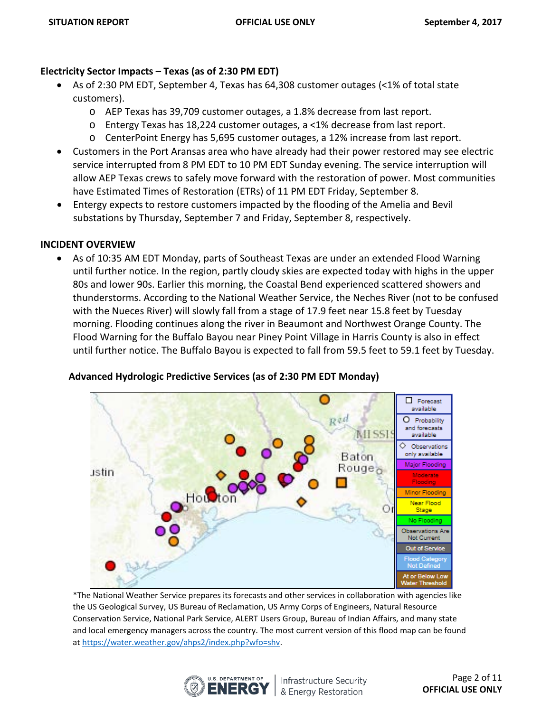## **Electricity Sector Impacts – Texas (as of 2:30 PM EDT)**

- As of 2:30 PM EDT, September 4, Texas has 64,308 customer outages (<1% of total state customers).
	- o AEP Texas has 39,709 customer outages, a 1.8% decrease from last report.
	- o Entergy Texas has 18,224 customer outages, a <1% decrease from last report.
	- o CenterPoint Energy has 5,695 customer outages, a 12% increase from last report.
- Customers in the Port Aransas area who have already had their power restored may see electric service interrupted from 8 PM EDT to 10 PM EDT Sunday evening. The service interruption will allow AEP Texas crews to safely move forward with the restoration of power. Most communities have Estimated Times of Restoration (ETRs) of 11 PM EDT Friday, September 8.
- Entergy expects to restore customers impacted by the flooding of the Amelia and Bevil substations by Thursday, September 7 and Friday, September 8, respectively.

# **INCIDENT OVERVIEW**

• As of 10:35 AM EDT Monday, parts of Southeast Texas are under an extended Flood Warning until further notice. In the region, partly cloudy skies are expected today with highs in the upper 80s and lower 90s. Earlier this morning, the Coastal Bend experienced scattered showers and thunderstorms. According to the National Weather Service, the Neches River (not to be confused with the Nueces River) will slowly fall from a stage of 17.9 feet near 15.8 feet by Tuesday morning. Flooding continues along the river in Beaumont and Northwest Orange County. The Flood Warning for the Buffalo Bayou near Piney Point Village in Harris County is also in effect until further notice. The Buffalo Bayou is expected to fall from 59.5 feet to 59.1 feet by Tuesday.

## **Advanced Hydrologic Predictive Services (as of 2:30 PM EDT Monday)**



\*The National Weather Service prepares its forecasts and other services in collaboration with agencies like the US Geological Survey, US Bureau of Reclamation, US Army Corps of Engineers, Natural Resource Conservation Service, National Park Service, ALERT Users Group, Bureau of Indian Affairs, and many state and local emergency managers across the country. The most current version of this flood map can be found a[t https://water.weather.gov/ahps2/index.php?wfo=shv.](https://water.weather.gov/ahps2/index.php?wfo=shv) 



Infrastructure Security & Energy Restoration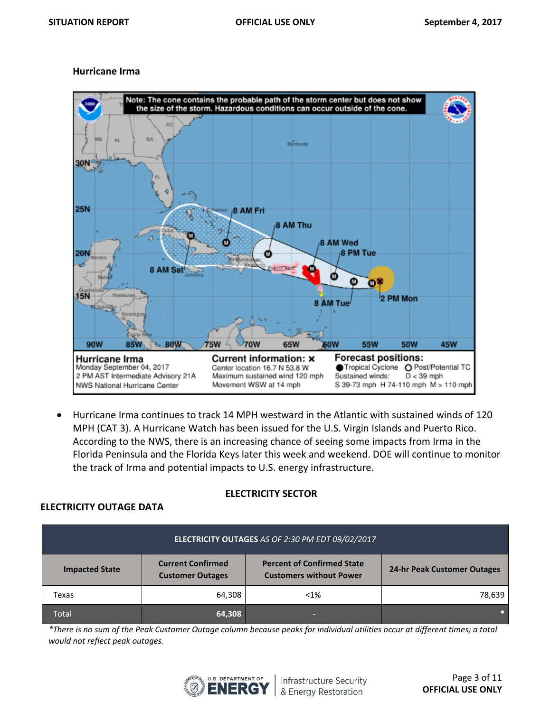#### **Hurricane Irma**



• Hurricane Irma continues to track 14 MPH westward in the Atlantic with sustained winds of 120 MPH (CAT 3). A Hurricane Watch has been issued for the U.S. Virgin Islands and Puerto Rico. According to the NWS, there is an increasing chance of seeing some impacts from Irma in the Florida Peninsula and the Florida Keys later this week and weekend. DOE will continue to monitor the track of Irma and potential impacts to U.S. energy infrastructure.

## **ELECTRICITY SECTOR**

## **ELECTRICITY OUTAGE DATA**

| ELECTRICITY OUTAGES AS OF 2:30 PM EDT 09/02/2017 |                                                     |                                                                     |                             |  |
|--------------------------------------------------|-----------------------------------------------------|---------------------------------------------------------------------|-----------------------------|--|
| <b>Impacted State</b>                            | <b>Current Confirmed</b><br><b>Customer Outages</b> | <b>Percent of Confirmed State</b><br><b>Customers without Power</b> | 24-hr Peak Customer Outages |  |
| Texas                                            | 64,308                                              | $< 1\%$                                                             | 78,639                      |  |
| Total                                            | 64,308                                              | _                                                                   |                             |  |

*\*There is no sum of the Peak Customer Outage column because peaks for individual utilities occur at different times; a total would not reflect peak outages.*

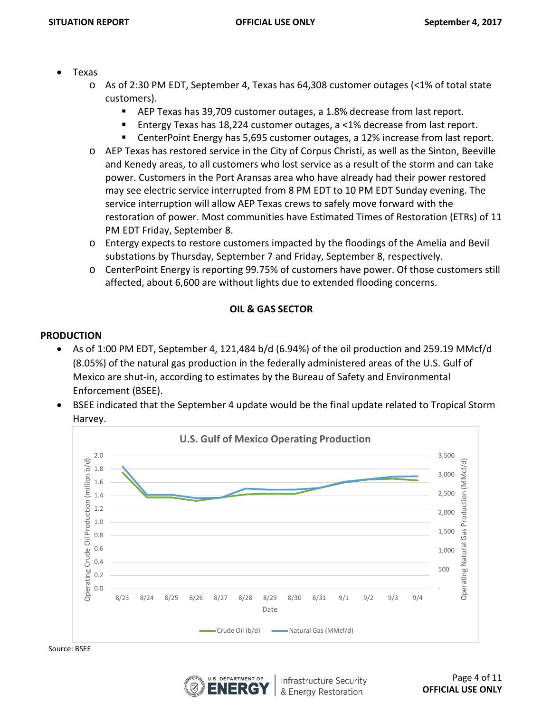- Texas
	- o As of 2:30 PM EDT, September 4, Texas has 64,308 customer outages (<1% of total state customers).
		- AEP Texas has 39,709 customer outages, a 1.8% decrease from last report.
		- Entergy Texas has 18,224 customer outages, a <1% decrease from last report.
		- CenterPoint Energy has 5,695 customer outages, a 12% increase from last report.
	- o AEP Texas has restored service in the City of Corpus Christi, as well as the Sinton, Beeville and Kenedy areas, to all customers who lost service as a result of the storm and can take power. Customers in the Port Aransas area who have already had their power restored may see electric service interrupted from 8 PM EDT to 10 PM EDT Sunday evening. The service interruption will allow AEP Texas crews to safely move forward with the restoration of power. Most communities have Estimated Times of Restoration (ETRs) of 11 PM EDT Friday, September 8.
	- o Entergy expects to restore customers impacted by the floodings of the Amelia and Bevil substations by Thursday, September 7 and Friday, September 8, respectively.
	- o CenterPoint Energy is reporting 99.75% of customers have power. Of those customers still affected, about 6,600 are without lights due to extended flooding concerns.

# **OIL & GAS SECTOR**

# **PRODUCTION**

- As of 1:00 PM EDT, September 4, 121,484 b/d (6.94%) of the oil production and 259.19 MMcf/d (8.05%) of the natural gas production in the federally administered areas of the U.S. Gulf of Mexico are shut-in, according to estimates by the Bureau of Safety and Environmental Enforcement (BSEE).
- BSEE indicated that the September 4 update would be the final update related to Tropical Storm Harvey.



Source: BSEE

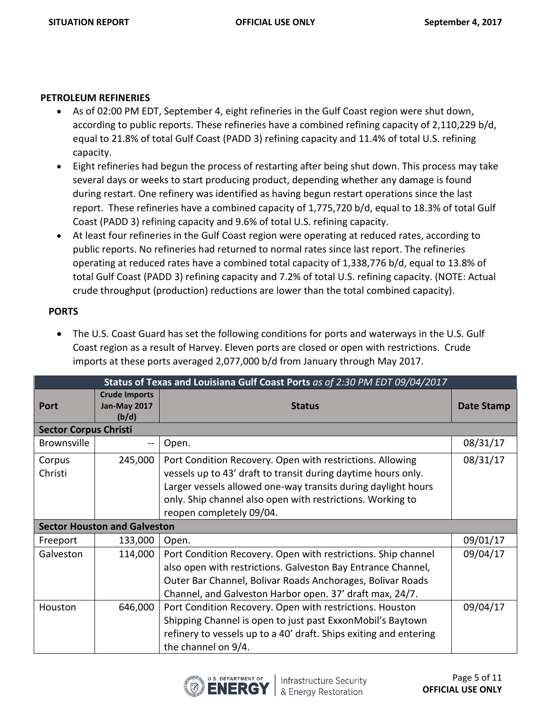#### **PETROLEUM REFINERIES**

- As of 02:00 PM EDT, September 4, eight refineries in the Gulf Coast region were shut down, according to public reports. These refineries have a combined refining capacity of 2,110,229 b/d, equal to 21.8% of total Gulf Coast (PADD 3) refining capacity and 11.4% of total U.S. refining capacity.
- Eight refineries had begun the process of restarting after being shut down. This process may take several days or weeks to start producing product, depending whether any damage is found during restart. One refinery was identified as having begun restart operations since the last report. These refineries have a combined capacity of 1,775,720 b/d, equal to 18.3% of total Gulf Coast (PADD 3) refining capacity and 9.6% of total U.S. refining capacity.
- At least four refineries in the Gulf Coast region were operating at reduced rates, according to public reports. No refineries had returned to normal rates since last report. The refineries operating at reduced rates have a combined total capacity of 1,338,776 b/d, equal to 13.8% of total Gulf Coast (PADD 3) refining capacity and 7.2% of total U.S. refining capacity. (NOTE: Actual crude throughput (production) reductions are lower than the total combined capacity).

# **PORTS**

• The U.S. Coast Guard has set the following conditions for ports and waterways in the U.S. Gulf Coast region as a result of Harvey. Eleven ports are closed or open with restrictions. Crude imports at these ports averaged 2,077,000 b/d from January through May 2017.

|                              | Status of Texas and Louisiana Gulf Coast Ports as of 2:30 PM EDT 09/04/2017 |                                                                                                                                                                                                                                                                                       |            |  |
|------------------------------|-----------------------------------------------------------------------------|---------------------------------------------------------------------------------------------------------------------------------------------------------------------------------------------------------------------------------------------------------------------------------------|------------|--|
| Port                         | <b>Crude Imports</b><br><b>Jan-May 2017</b><br>(b/d)                        | <b>Status</b>                                                                                                                                                                                                                                                                         | Date Stamp |  |
| <b>Sector Corpus Christi</b> |                                                                             |                                                                                                                                                                                                                                                                                       |            |  |
| Brownsville                  |                                                                             | Open.                                                                                                                                                                                                                                                                                 | 08/31/17   |  |
| Corpus<br>Christi            | 245,000                                                                     | Port Condition Recovery. Open with restrictions. Allowing<br>vessels up to 43' draft to transit during daytime hours only.<br>Larger vessels allowed one-way transits during daylight hours<br>only. Ship channel also open with restrictions. Working to<br>reopen completely 09/04. | 08/31/17   |  |
|                              | <b>Sector Houston and Galveston</b>                                         |                                                                                                                                                                                                                                                                                       |            |  |
| Freeport                     | 133,000                                                                     | Open.                                                                                                                                                                                                                                                                                 | 09/01/17   |  |
| Galveston                    | 114,000                                                                     | Port Condition Recovery. Open with restrictions. Ship channel<br>also open with restrictions. Galveston Bay Entrance Channel,<br>Outer Bar Channel, Bolivar Roads Anchorages, Bolivar Roads<br>Channel, and Galveston Harbor open. 37' draft max, 24/7.                               | 09/04/17   |  |
| Houston                      | 646,000                                                                     | Port Condition Recovery. Open with restrictions. Houston<br>Shipping Channel is open to just past ExxonMobil's Baytown<br>refinery to vessels up to a 40' draft. Ships exiting and entering<br>the channel on 9/4.                                                                    | 09/04/17   |  |

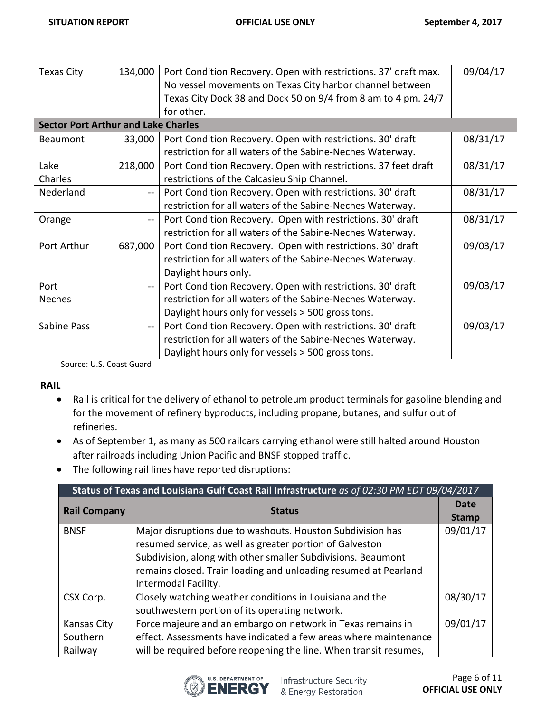| <b>Texas City</b> | 134,000                                    | Port Condition Recovery. Open with restrictions. 37' draft max. | 09/04/17 |
|-------------------|--------------------------------------------|-----------------------------------------------------------------|----------|
|                   |                                            | No vessel movements on Texas City harbor channel between        |          |
|                   |                                            | Texas City Dock 38 and Dock 50 on 9/4 from 8 am to 4 pm. 24/7   |          |
|                   |                                            | for other.                                                      |          |
|                   | <b>Sector Port Arthur and Lake Charles</b> |                                                                 |          |
| Beaumont          | 33,000                                     | Port Condition Recovery. Open with restrictions. 30' draft      | 08/31/17 |
|                   |                                            | restriction for all waters of the Sabine-Neches Waterway.       |          |
| Lake              | 218,000                                    | Port Condition Recovery. Open with restrictions. 37 feet draft  | 08/31/17 |
| Charles           |                                            | restrictions of the Calcasieu Ship Channel.                     |          |
| Nederland         | $-$                                        | Port Condition Recovery. Open with restrictions. 30' draft      | 08/31/17 |
|                   |                                            | restriction for all waters of the Sabine-Neches Waterway.       |          |
| Orange            | $-$                                        | Port Condition Recovery. Open with restrictions. 30' draft      | 08/31/17 |
|                   |                                            | restriction for all waters of the Sabine-Neches Waterway.       |          |
| Port Arthur       | 687,000                                    | Port Condition Recovery. Open with restrictions. 30' draft      | 09/03/17 |
|                   |                                            | restriction for all waters of the Sabine-Neches Waterway.       |          |
|                   |                                            | Daylight hours only.                                            |          |
| Port              | $-$                                        | Port Condition Recovery. Open with restrictions. 30' draft      | 09/03/17 |
| <b>Neches</b>     |                                            | restriction for all waters of the Sabine-Neches Waterway.       |          |
|                   |                                            | Daylight hours only for vessels > 500 gross tons.               |          |
| Sabine Pass       | $\sim$ $\sim$                              | Port Condition Recovery. Open with restrictions. 30' draft      | 09/03/17 |
|                   |                                            | restriction for all waters of the Sabine-Neches Waterway.       |          |
|                   |                                            | Daylight hours only for vessels > 500 gross tons.               |          |

Source: U.S. Coast Guard

#### **RAIL**

- Rail is critical for the delivery of ethanol to petroleum product terminals for gasoline blending and for the movement of refinery byproducts, including propane, butanes, and sulfur out of refineries.
- As of September 1, as many as 500 railcars carrying ethanol were still halted around Houston after railroads including Union Pacific and BNSF stopped traffic.
- The following rail lines have reported disruptions:

| Status of Texas and Louisiana Gulf Coast Rail Infrastructure as of 02:30 PM EDT 09/04/2017 |                                                                                                                                                                                                                                                                                   |          |  |
|--------------------------------------------------------------------------------------------|-----------------------------------------------------------------------------------------------------------------------------------------------------------------------------------------------------------------------------------------------------------------------------------|----------|--|
| <b>Rail Company</b>                                                                        | <b>Status</b>                                                                                                                                                                                                                                                                     |          |  |
| <b>BNSF</b>                                                                                | Major disruptions due to washouts. Houston Subdivision has<br>resumed service, as well as greater portion of Galveston<br>Subdivision, along with other smaller Subdivisions. Beaumont<br>remains closed. Train loading and unloading resumed at Pearland<br>Intermodal Facility. | 09/01/17 |  |
| CSX Corp.                                                                                  | Closely watching weather conditions in Louisiana and the<br>southwestern portion of its operating network.                                                                                                                                                                        | 08/30/17 |  |
| Kansas City<br>Southern<br>Railway                                                         | Force majeure and an embargo on network in Texas remains in<br>effect. Assessments have indicated a few areas where maintenance<br>will be required before reopening the line. When transit resumes,                                                                              | 09/01/17 |  |

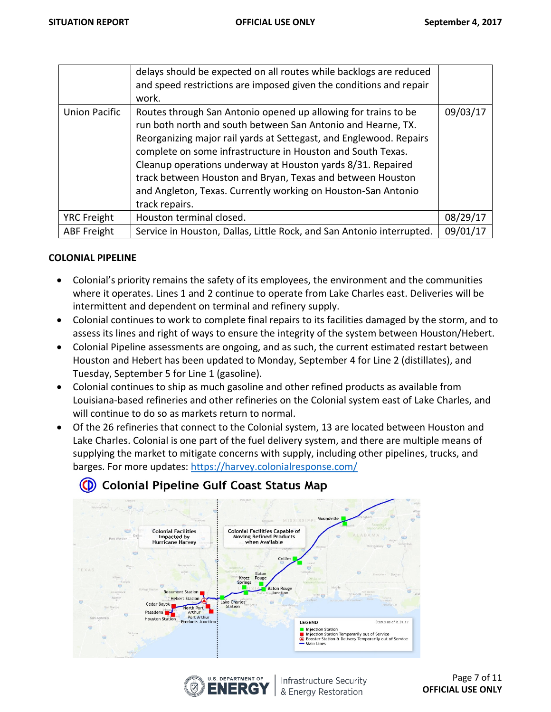|                      | delays should be expected on all routes while backlogs are reduced<br>and speed restrictions are imposed given the conditions and repair<br>work.                                                                                                                                                                                                                                                                                                                                   |          |
|----------------------|-------------------------------------------------------------------------------------------------------------------------------------------------------------------------------------------------------------------------------------------------------------------------------------------------------------------------------------------------------------------------------------------------------------------------------------------------------------------------------------|----------|
| <b>Union Pacific</b> | Routes through San Antonio opened up allowing for trains to be<br>run both north and south between San Antonio and Hearne, TX.<br>Reorganizing major rail yards at Settegast, and Englewood. Repairs<br>complete on some infrastructure in Houston and South Texas.<br>Cleanup operations underway at Houston yards 8/31. Repaired<br>track between Houston and Bryan, Texas and between Houston<br>and Angleton, Texas. Currently working on Houston-San Antonio<br>track repairs. | 09/03/17 |
| <b>YRC Freight</b>   | Houston terminal closed.                                                                                                                                                                                                                                                                                                                                                                                                                                                            | 08/29/17 |
| <b>ABF</b> Freight   | Service in Houston, Dallas, Little Rock, and San Antonio interrupted.                                                                                                                                                                                                                                                                                                                                                                                                               | 09/01/17 |

#### **COLONIAL PIPELINE**

- Colonial's priority remains the safety of its employees, the environment and the communities where it operates. Lines 1 and 2 continue to operate from Lake Charles east. Deliveries will be intermittent and dependent on terminal and refinery supply.
- Colonial continues to work to complete final repairs to its facilities damaged by the storm, and to assess its lines and right of ways to ensure the integrity of the system between Houston/Hebert.
- Colonial Pipeline assessments are ongoing, and as such, the current estimated restart between Houston and Hebert has been updated to Monday, September 4 for Line 2 (distillates), and Tuesday, September 5 for Line 1 (gasoline).
- Colonial continues to ship as much gasoline and other refined products as available from Louisiana-based refineries and other refineries on the Colonial system east of Lake Charles, and will continue to do so as markets return to normal.
- Of the 26 refineries that connect to the Colonial system, 13 are located between Houston and Lake Charles. Colonial is one part of the fuel delivery system, and there are multiple means of supplying the market to mitigate concerns with supply, including other pipelines, trucks, and barges. For more updates:<https://harvey.colonialresponse.com/>



# (D) Colonial Pipeline Gulf Coast Status Map



Infrastructure Security & Energy Restoration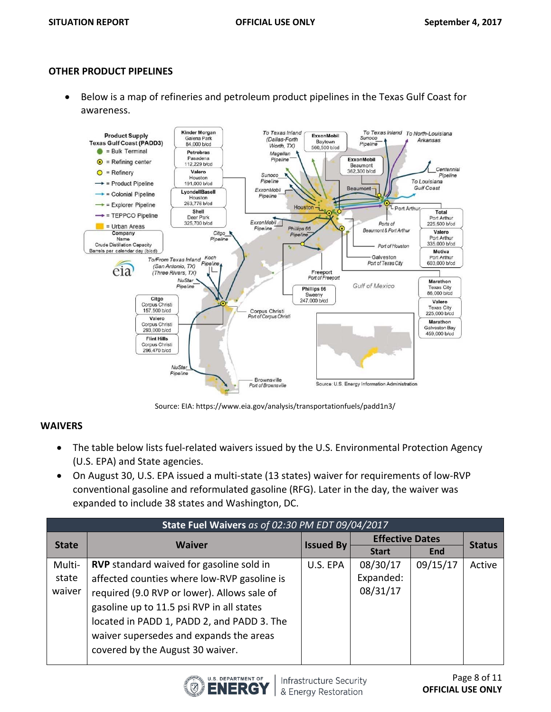#### **OTHER PRODUCT PIPELINES**

• Below is a map of refineries and petroleum product pipelines in the Texas Gulf Coast for awareness.



Source: EIA: https://www.eia.gov/analysis/transportationfuels/padd1n3/

#### **WAIVERS**

- The table below lists fuel-related waivers issued by the U.S. Environmental Protection Agency (U.S. EPA) and State agencies.
- On August 30, U.S. EPA issued a multi-state (13 states) waiver for requirements of low-RVP conventional gasoline and reformulated gasoline (RFG). Later in the day, the waiver was expanded to include 38 states and Washington, DC.

| State Fuel Waivers as of 02:30 PM EDT 09/04/2017 |                                                 |                  |                        |            |               |
|--------------------------------------------------|-------------------------------------------------|------------------|------------------------|------------|---------------|
| <b>State</b>                                     | <b>Waiver</b>                                   |                  | <b>Effective Dates</b> |            | <b>Status</b> |
|                                                  |                                                 | <b>Issued By</b> | <b>Start</b>           | <b>End</b> |               |
| Multi-                                           | <b>RVP</b> standard waived for gasoline sold in | U.S. EPA         | 08/30/17               | 09/15/17   | Active        |
| state                                            | affected counties where low-RVP gasoline is     |                  | Expanded:              |            |               |
| waiver                                           | required (9.0 RVP or lower). Allows sale of     |                  | 08/31/17               |            |               |
|                                                  | gasoline up to 11.5 psi RVP in all states       |                  |                        |            |               |
|                                                  | located in PADD 1, PADD 2, and PADD 3. The      |                  |                        |            |               |
|                                                  | waiver supersedes and expands the areas         |                  |                        |            |               |
|                                                  | covered by the August 30 waiver.                |                  |                        |            |               |
|                                                  |                                                 |                  |                        |            |               |

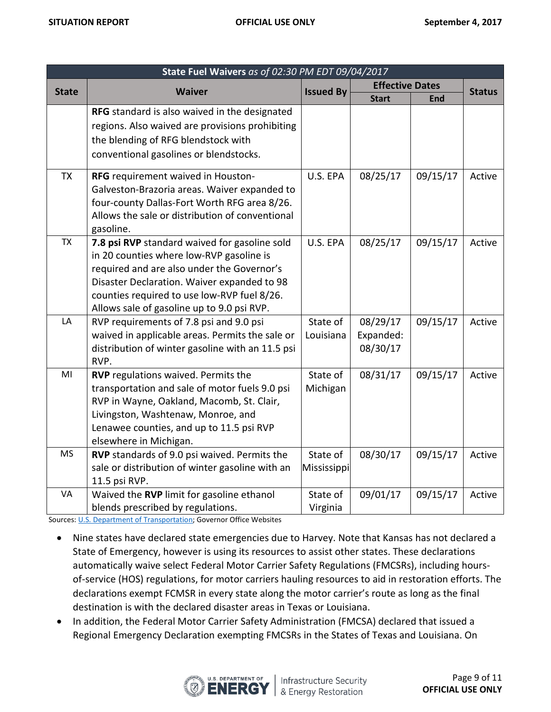| State Fuel Waivers as of 02:30 PM EDT 09/04/2017 |                                                  |                  |                        |            |               |
|--------------------------------------------------|--------------------------------------------------|------------------|------------------------|------------|---------------|
| <b>State</b>                                     | <b>Waiver</b>                                    | <b>Issued By</b> | <b>Effective Dates</b> |            | <b>Status</b> |
|                                                  |                                                  |                  | <b>Start</b>           | <b>End</b> |               |
|                                                  | RFG standard is also waived in the designated    |                  |                        |            |               |
|                                                  | regions. Also waived are provisions prohibiting  |                  |                        |            |               |
|                                                  | the blending of RFG blendstock with              |                  |                        |            |               |
|                                                  | conventional gasolines or blendstocks.           |                  |                        |            |               |
| <b>TX</b>                                        | RFG requirement waived in Houston-               | U.S. EPA         | 08/25/17               | 09/15/17   | Active        |
|                                                  | Galveston-Brazoria areas. Waiver expanded to     |                  |                        |            |               |
|                                                  | four-county Dallas-Fort Worth RFG area 8/26.     |                  |                        |            |               |
|                                                  | Allows the sale or distribution of conventional  |                  |                        |            |               |
|                                                  | gasoline.                                        |                  |                        |            |               |
| <b>TX</b>                                        | 7.8 psi RVP standard waived for gasoline sold    | U.S. EPA         | 08/25/17               | 09/15/17   | Active        |
|                                                  | in 20 counties where low-RVP gasoline is         |                  |                        |            |               |
|                                                  | required and are also under the Governor's       |                  |                        |            |               |
|                                                  | Disaster Declaration. Waiver expanded to 98      |                  |                        |            |               |
|                                                  | counties required to use low-RVP fuel 8/26.      |                  |                        |            |               |
|                                                  | Allows sale of gasoline up to 9.0 psi RVP.       |                  |                        |            |               |
| LA                                               | RVP requirements of 7.8 psi and 9.0 psi          | State of         | 08/29/17               | 09/15/17   | Active        |
|                                                  | waived in applicable areas. Permits the sale or  | Louisiana        | Expanded:              |            |               |
|                                                  | distribution of winter gasoline with an 11.5 psi |                  | 08/30/17               |            |               |
|                                                  | RVP.                                             |                  |                        |            |               |
| MI                                               | <b>RVP</b> regulations waived. Permits the       | State of         | 08/31/17               | 09/15/17   | Active        |
|                                                  | transportation and sale of motor fuels 9.0 psi   | Michigan         |                        |            |               |
|                                                  | RVP in Wayne, Oakland, Macomb, St. Clair,        |                  |                        |            |               |
|                                                  | Livingston, Washtenaw, Monroe, and               |                  |                        |            |               |
|                                                  | Lenawee counties, and up to 11.5 psi RVP         |                  |                        |            |               |
|                                                  | elsewhere in Michigan.                           |                  |                        |            |               |
| <b>MS</b>                                        | RVP standards of 9.0 psi waived. Permits the     | State of         | 08/30/17               | 09/15/17   | Active        |
|                                                  | sale or distribution of winter gasoline with an  | Mississippi      |                        |            |               |
|                                                  | 11.5 psi RVP.                                    |                  |                        |            |               |
| VA                                               | Waived the RVP limit for gasoline ethanol        | State of         | 09/01/17               | 09/15/17   | Active        |
|                                                  | blends prescribed by regulations.                | Virginia         |                        |            |               |

Sources: [U.S. Department of Transportation;](http://www.fmcsa.dot.gov/emergency) Governor Office Websites

- Nine states have declared state emergencies due to Harvey. Note that Kansas has not declared a State of Emergency, however is using its resources to assist other states. These declarations automatically waive select Federal Motor Carrier Safety Regulations (FMCSRs), including hoursof-service (HOS) regulations, for motor carriers hauling resources to aid in restoration efforts. The declarations exempt FCMSR in every state along the motor carrier's route as long as the final destination is with the declared disaster areas in Texas or Louisiana.
- In addition, the Federal Motor Carrier Safety Administration (FMCSA) declared that issued a Regional Emergency Declaration exempting FMCSRs in the States of Texas and Louisiana. On

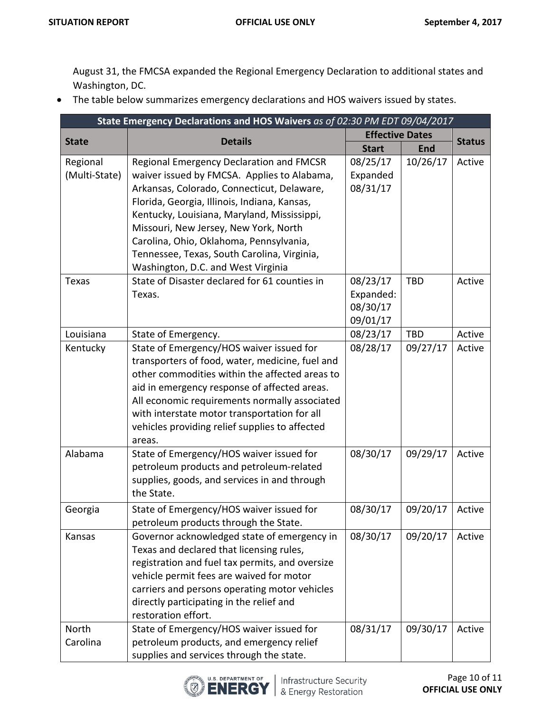August 31, the FMCSA expanded the Regional Emergency Declaration to additional states and Washington, DC.

• The table below summarizes emergency declarations and HOS waivers issued by states.

| State Emergency Declarations and HOS Waivers as of 02:30 PM EDT 09/04/2017 |                                                                                                                                                                                                                                                                                                                                                                                                               |                                               |            |               |
|----------------------------------------------------------------------------|---------------------------------------------------------------------------------------------------------------------------------------------------------------------------------------------------------------------------------------------------------------------------------------------------------------------------------------------------------------------------------------------------------------|-----------------------------------------------|------------|---------------|
| <b>State</b>                                                               | <b>Details</b>                                                                                                                                                                                                                                                                                                                                                                                                | <b>Effective Dates</b>                        |            | <b>Status</b> |
|                                                                            |                                                                                                                                                                                                                                                                                                                                                                                                               | <b>Start</b>                                  | <b>End</b> |               |
| Regional<br>(Multi-State)                                                  | Regional Emergency Declaration and FMCSR<br>waiver issued by FMCSA. Applies to Alabama,<br>Arkansas, Colorado, Connecticut, Delaware,<br>Florida, Georgia, Illinois, Indiana, Kansas,<br>Kentucky, Louisiana, Maryland, Mississippi,<br>Missouri, New Jersey, New York, North<br>Carolina, Ohio, Oklahoma, Pennsylvania,<br>Tennessee, Texas, South Carolina, Virginia,<br>Washington, D.C. and West Virginia | 08/25/17<br>Expanded<br>08/31/17              | 10/26/17   | Active        |
| <b>Texas</b>                                                               | State of Disaster declared for 61 counties in<br>Texas.                                                                                                                                                                                                                                                                                                                                                       | 08/23/17<br>Expanded:<br>08/30/17<br>09/01/17 | TBD        | Active        |
| Louisiana                                                                  | State of Emergency.                                                                                                                                                                                                                                                                                                                                                                                           | 08/23/17                                      | <b>TBD</b> | Active        |
| Kentucky                                                                   | State of Emergency/HOS waiver issued for<br>transporters of food, water, medicine, fuel and<br>other commodities within the affected areas to<br>aid in emergency response of affected areas.<br>All economic requirements normally associated<br>with interstate motor transportation for all<br>vehicles providing relief supplies to affected<br>areas.                                                    | 08/28/17                                      | 09/27/17   | Active        |
| Alabama                                                                    | State of Emergency/HOS waiver issued for<br>petroleum products and petroleum-related<br>supplies, goods, and services in and through<br>the State.                                                                                                                                                                                                                                                            | 08/30/17                                      | 09/29/17   | Active        |
| Georgia                                                                    | State of Emergency/HOS waiver issued for<br>petroleum products through the State.                                                                                                                                                                                                                                                                                                                             | 08/30/17                                      | 09/20/17   | Active        |
| Kansas                                                                     | Governor acknowledged state of emergency in<br>Texas and declared that licensing rules,<br>registration and fuel tax permits, and oversize<br>vehicle permit fees are waived for motor<br>carriers and persons operating motor vehicles<br>directly participating in the relief and<br>restoration effort.                                                                                                    | 08/30/17                                      | 09/20/17   | Active        |
| <b>North</b><br>Carolina                                                   | State of Emergency/HOS waiver issued for<br>petroleum products, and emergency relief<br>supplies and services through the state.                                                                                                                                                                                                                                                                              | 08/31/17                                      | 09/30/17   | Active        |